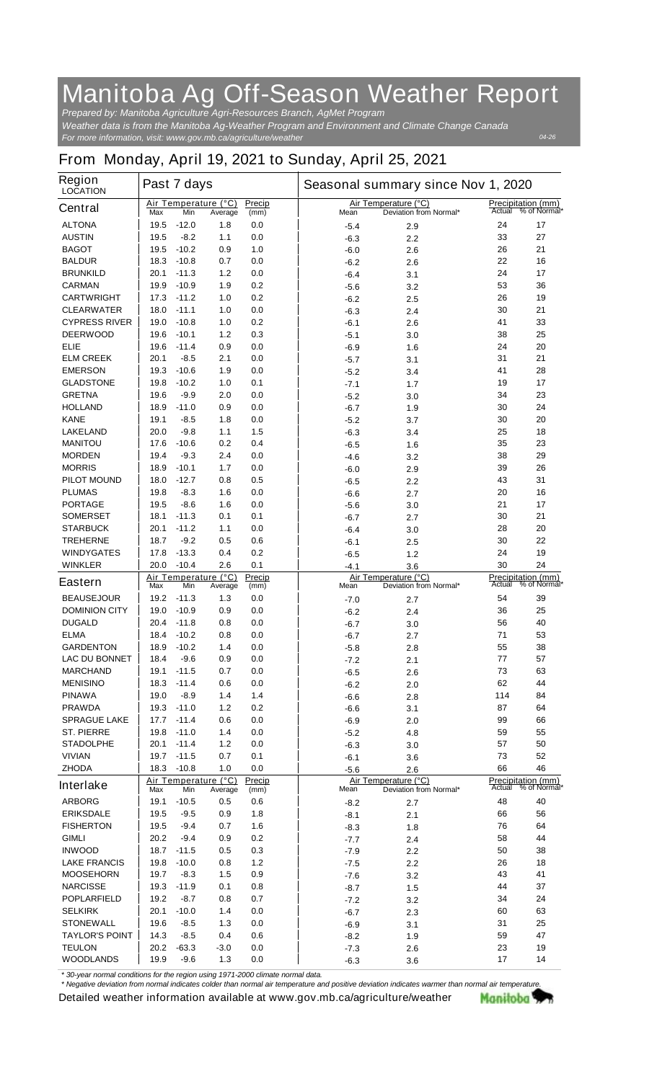## **Manitoba Ag Off-Season Weather Report**

*For more information, visit: www.gov.mb.ca/agriculture/weather Prepared by: Manitoba Agriculture Agri-Resources Branch, AgMet Program Weather data is from the Manitoba Ag-Weather Program and Environment and Climate Change Canada*

*04-26*

## **From Monday, April 19, 2021 to Sunday, April 25, 2021**

| <b>Region</b><br><b>LOCATION</b>     | Past 7 days  |                    |                                 |                |  | Seasonal summary since Nov 1, 2020 |                                                |          |                                    |  |
|--------------------------------------|--------------|--------------------|---------------------------------|----------------|--|------------------------------------|------------------------------------------------|----------|------------------------------------|--|
| <b>Central</b>                       | Max          | Min                | Air Temperature (°C)<br>Average | Precip<br>(mm) |  | Mean                               | Air Temperature (°C)<br>Deviation from Normal* | Actual   | Precipitation (mm)<br>% of Normal* |  |
| <b>ALTONA</b>                        | 19.5         | $-12.0$            | 1.8                             | 0.0            |  | $-5.4$                             | 2.9                                            | 24       | 17                                 |  |
| <b>AUSTIN</b>                        | 19.5         | $-8.2$             | 1.1                             | 0.0            |  | $-6.3$                             | 2.2                                            | 33       | 27                                 |  |
| <b>BAGOT</b>                         | 19.5         | $-10.2$            | 0.9                             | 1.0            |  | $-6.0$                             | 2.6                                            | 26       | 21                                 |  |
| <b>BALDUR</b>                        | 18.3         | $-10.8$            | 0.7                             | 0.0            |  | -6.2                               | 2.6                                            | 22       | 16                                 |  |
| <b>BRUNKILD</b>                      | 20.1         | $-11.3$            | 1.2                             | 0.0            |  | $-6.4$                             | 3.1                                            | 24       | 17                                 |  |
| <b>CARMAN</b>                        | 19.9         | $-10.9$            | 1.9                             | 0.2            |  | $-5.6$                             | 3.2                                            | 53       | 36                                 |  |
| <b>CARTWRIGHT</b>                    | 17.3         | $-11.2$            | 1.0                             | 0.2            |  | $-6.2$                             | 2.5                                            | 26       | 19                                 |  |
| <b>CLEARWATER</b>                    | 18.0         | $-11.1$            | 1.0                             | 0.0            |  | $-6.3$                             | 2.4                                            | 30       | 21                                 |  |
| <b>CYPRESS RIVER</b>                 | 19.0         | $-10.8$            | 1.0                             | 0.2            |  | $-6.1$                             | 2.6                                            | 41       | 33                                 |  |
| <b>DEERWOOD</b>                      | 19.6         | $-10.1$            | 1.2                             | 0.3            |  | $-5.1$                             | 3.0                                            | 38       | 25                                 |  |
| <b>ELIE</b>                          | 19.6         | $-11.4$            | 0.9                             | 0.0            |  | $-6.9$                             | 1.6                                            | 24       | 20                                 |  |
| <b>ELM CREEK</b>                     | 20.1         | $-8.5$             | 2.1                             | 0.0            |  | $-5.7$                             | 3.1                                            | 31       | 21                                 |  |
| <b>EMERSON</b>                       | 19.3         | $-10.6$            | 1.9                             | 0.0            |  | $-5.2$                             | 3.4                                            | 41       | 28                                 |  |
| <b>GLADSTONE</b>                     | 19.8         | $-10.2$            | 1.0                             | 0.1            |  | $-7.1$                             | 1.7                                            | 19       | 17                                 |  |
| <b>GRETNA</b>                        | 19.6         | $-9.9$             | 2.0                             | 0.0            |  | $-5.2$                             | 3.0                                            | 34       | 23                                 |  |
| <b>HOLLAND</b>                       | 18.9         | $-11.0$            | 0.9                             | 0.0            |  | $-6.7$                             | 1.9                                            | 30       | 24                                 |  |
| <b>KANE</b>                          | 19.1         | $-8.5$             | 1.8                             | 0.0            |  | $-5.2$                             | 3.7                                            | 30       | 20                                 |  |
| <b>LAKELAND</b>                      | 20.0         | $-9.8$             | 1.1                             | 1.5            |  | $-6.3$                             | 3.4                                            | 25       | 18                                 |  |
| <b>MANITOU</b>                       | 17.6         | $-10.6$            | 0.2                             | 0.4            |  | $-6.5$                             | 1.6                                            | 35       | 23                                 |  |
| <b>MORDEN</b>                        | 19.4         | $-9.3$             | 2.4                             | 0.0            |  | $-4.6$                             | 3.2                                            | 38       | 29                                 |  |
| <b>MORRIS</b>                        | 18.9         | $-10.1$            | 1.7                             | 0.0            |  | $-6.0$                             | 2.9                                            | 39       | 26                                 |  |
| <b>PILOT MOUND</b>                   | 18.0         | $-12.7$            | 0.8                             | 0.5            |  | -6.5                               | 2.2                                            | 43       | 31                                 |  |
| <b>PLUMAS</b>                        | 19.8         | $-8.3$             | 1.6                             | 0.0            |  | $-6.6$                             | 2.7                                            | 20       | 16                                 |  |
| <b>PORTAGE</b><br><b>SOMERSET</b>    | 19.5<br>18.1 | $-8.6$<br>$-11.3$  | 1.6<br>0.1                      | 0.0<br>0.1     |  | $-5.6$                             | 3.0                                            | 21<br>30 | 17<br>21                           |  |
| <b>STARBUCK</b>                      | 20.1         | $-11.2$            |                                 | 0.0            |  | $-6.7$                             | 2.7                                            | 28       | 20                                 |  |
| <b>TREHERNE</b>                      | 18.7         | $-9.2$             | 1.1<br>0.5                      | 0.6            |  | $-6.4$                             | 3.0                                            | 30       | 22                                 |  |
| <b>WINDYGATES</b>                    | 17.8         | $-13.3$            | 0.4                             | 0.2            |  | $-6.1$<br>$-6.5$                   | 2.5                                            | 24       | 19                                 |  |
| <b>WINKLER</b>                       | 20.0         | $-10.4$            | 2.6                             | 0.1            |  | $-4.1$                             | 1.2                                            | 30       | 24                                 |  |
|                                      |              |                    | Air Temperature (°C)            | Precip         |  |                                    | 3.6<br>Air Temperature (°C)                    |          | <b>Precipitation (mm)</b>          |  |
| <b>Eastern</b>                       | Max          | Min                | Average                         | (mm)           |  | Mean                               | Deviation from Normal*                         | Actual   | % of Normal*                       |  |
| <b>BEAUSEJOUR</b>                    | 19.2         | $-11.3$            | 1.3                             | 0.0            |  | $-7.0$                             | 2.7                                            | 54       | 39                                 |  |
| <b>DOMINION CITY</b>                 | 19.0         | $-10.9$            | 0.9                             | 0.0            |  | $-6.2$                             | 2.4                                            | 36       | 25                                 |  |
| <b>DUGALD</b>                        | 20.4         | $-11.8$            | 0.8                             | 0.0            |  | $-6.7$                             | 3.0                                            | 56       | 40                                 |  |
| <b>ELMA</b>                          | 18.4         | $-10.2$            | 0.8                             | 0.0            |  | $-6.7$                             | 2.7                                            | 71       | 53                                 |  |
| <b>GARDENTON</b>                     | 18.9         | $-10.2$            | 1.4                             | 0.0            |  | $-5.8$                             | 2.8                                            | 55       | 38                                 |  |
| <b>LAC DU BONNET</b>                 | 18.4         | -9.6               | 0.9                             | 0.0            |  | -7.2                               | 2.1                                            | 77       | 57                                 |  |
| <b>MARCHAND</b>                      | 19.1         | $-11.5$            | 0.7                             | 0.0            |  | $-6.5$                             | 2.6                                            | 73       | 63                                 |  |
| <b>MENISINO</b>                      | 18.3         | $-11.4$            | 0.6                             | 0.0            |  | $-6.2$                             | 2.0                                            | 62       | 44                                 |  |
| <b>PINAWA</b>                        | 19.0         | $-8.9$             | 1.4                             | 1.4            |  | $-6.6$                             | 2.8                                            | 114      | 84                                 |  |
| <b>PRAWDA</b><br><b>SPRAGUE LAKE</b> | 19.3<br>17.7 | $-11.0$<br>$-11.4$ | 1.2<br>0.6                      | 0.2<br>0.0     |  | $-6.6$                             | 3.1                                            | 87<br>99 | 64<br>66                           |  |
| <b>ST. PIERRE</b>                    | 19.8         | $-11.0$            | 1.4                             | 0.0            |  | $-6.9$                             | 2.0                                            | 59       | 55                                 |  |
| <b>STADOLPHE</b>                     | 20.1         | $-11.4$            | 1.2                             | 0.0            |  | $-5.2$                             | 4.8                                            | 57       | 50                                 |  |
| <b>VIVIAN</b>                        | 19.7         | $-11.5$            | 0.7                             | 0.1            |  | $-6.3$<br>$-6.1$                   | 3.0<br>3.6                                     | 73       | 52                                 |  |
| <b>ZHODA</b>                         | 18.3         | $-10.8$            | 1.0                             | 0.0            |  | $-5.6$                             | 2.6                                            | 66       | 46                                 |  |
|                                      |              |                    | Air Temperature (°C)            | Precip         |  |                                    | Air Temperature (°C)                           |          | <b>Precipitation (mm)</b>          |  |
| <b>Interlake</b>                     | Max          | Min                | Average                         | (mm)           |  | Mean                               | Deviation from Normal*                         |          | Actual % of Normal*                |  |
| <b>ARBORG</b>                        | 19.1         | $-10.5$            | 0.5                             | 0.6            |  | $-8.2$                             | 2.7                                            | 48       | 40                                 |  |
| <b>ERIKSDALE</b>                     | 19.5         | $-9.5$             | 0.9                             | 1.8            |  | -8.1                               | 2.1                                            | 66       | 56                                 |  |
| <b>FISHERTON</b>                     | 19.5         | $-9.4$             | 0.7                             | 1.6            |  | $-8.3$                             | 1.8                                            | 76       | 64                                 |  |
| <b>GIMLI</b>                         | 20.2         | $-9.4$             | 0.9                             | 0.2            |  | -7.7                               | 2.4                                            | 58       | 44                                 |  |
| <b>INWOOD</b>                        | 18.7         | $-11.5$            | 0.5                             | 0.3            |  | $-7.9$                             | 2.2                                            | 50       | 38                                 |  |
| <b>LAKE FRANCIS</b>                  | 19.8         | $-10.0$            | 0.8                             | 1.2            |  | $-7.5$                             | 2.2                                            | 26       | 18                                 |  |
| <b>MOOSEHORN</b>                     | 19.7         | $-8.3$             | 1.5                             | 0.9            |  | $-7.6$                             | 3.2                                            | 43       | 41                                 |  |
| <b>NARCISSE</b>                      | 19.3         | $-11.9$            | 0.1                             | 0.8            |  | $-8.7$                             | 1.5                                            | 44       | 37                                 |  |
| <b>POPLARFIELD</b>                   | 19.2         | $-8.7$             | 0.8                             | 0.7            |  | $-7.2$                             | 3.2                                            | 34       | 24                                 |  |
| <b>SELKIRK</b>                       | 20.1         | $-10.0$            | 1.4                             | 0.0            |  | $-6.7$                             | 2.3                                            | 60       | 63                                 |  |
| <b>STONEWALL</b>                     | 19.6         | $-8.5$             | 1.3                             | 0.0            |  | $-6.9$                             | 3.1                                            | 31       | 25                                 |  |
| <b>TAYLOR'S POINT</b>                | 14.3         | $-8.5$             | 0.4                             | 0.6            |  | $-8.2$                             | 1.9                                            | 59       | 47                                 |  |
| <b>TEULON</b>                        | 20.2         | -63.3              | $-3.0$                          | 0.0            |  | $-7.3$                             | 2.6                                            | 23       | 19                                 |  |
| <b>WOODLANDS</b>                     | 19.9         | $-9.6$             | $1.3$                           | 0.0            |  | $-6.3$                             | 3.6                                            | 17       | 14                                 |  |

*\* 30-year normal conditions for the region using 1971-2000 climate normal data.*

*\* Negative deviation from normal indicates colder than normal air temperature and positive deviation indicates warmer than normal air temperature.***Detailed weather information available at www.gov.mb.ca/agriculture/weather** Manitoba 77